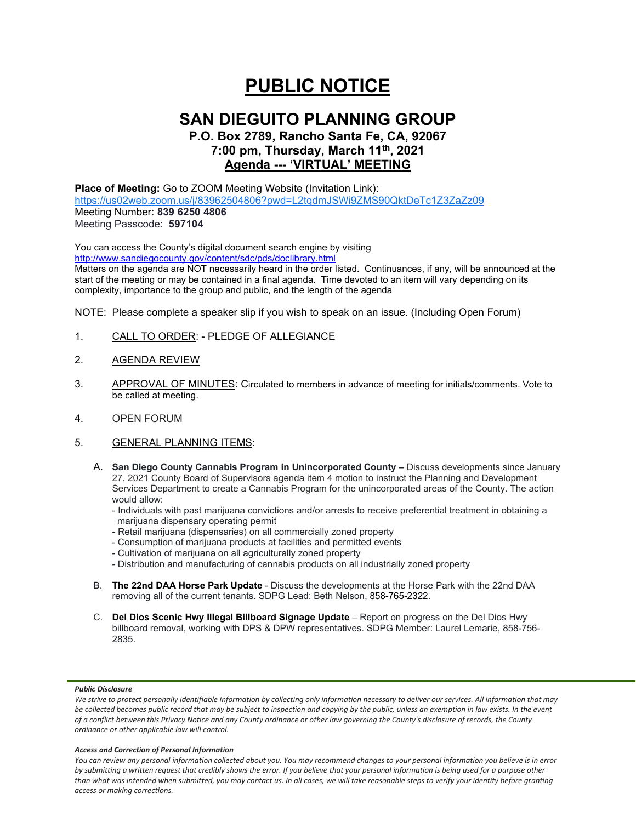# **PUBLIC NOTICE**

## **SAN DIEGUITO PLANNING GROUP**

## **P.O. Box 2789, Rancho Santa Fe, CA, 92067 7:00 pm, Thursday, March 11th, 2021 Agenda --- 'VIRTUAL' MEETING**

### **Place of Meeting:** Go to ZOOM Meeting Website (Invitation Link): <https://us02web.zoom.us/j/83962504806?pwd=L2tqdmJSWi9ZMS90QktDeTc1Z3ZaZz09> Meeting Number: **839 6250 4806**

Meeting Passcode: **597104**

You can access the County's digital document search engine by visiting <http://www.sandiegocounty.gov/content/sdc/pds/doclibrary.html>

Matters on the agenda are NOT necessarily heard in the order listed. Continuances, if any, will be announced at the start of the meeting or may be contained in a final agenda. Time devoted to an item will vary depending on its complexity, importance to the group and public, and the length of the agenda

NOTE: Please complete a speaker slip if you wish to speak on an issue. (Including Open Forum)

- 1. CALL TO ORDER: PLEDGE OF ALLEGIANCE
- 2. AGENDA REVIEW
- 3. APPROVAL OF MINUTES: Circulated to members in advance of meeting for initials/comments. Vote to be called at meeting.
- 4. OPEN FORUM
- 5. GENERAL PLANNING ITEMS:
	- A. **San Diego County Cannabis Program in Unincorporated County –** Discuss developments since January 27, 2021 County Board of Supervisors agenda item 4 motion to instruct the Planning and Development Services Department to create a Cannabis Program for the unincorporated areas of the County. The action would allow:
		- Individuals with past marijuana convictions and/or arrests to receive preferential treatment in obtaining a marijuana dispensary operating permit
		- Retail marijuana (dispensaries) on all commercially zoned property
		- Consumption of marijuana products at facilities and permitted events
		- Cultivation of marijuana on all agriculturally zoned property
		- Distribution and manufacturing of cannabis products on all industrially zoned property
	- B. **The 22nd DAA Horse Park Update** Discuss the developments at the Horse Park with the 22nd DAA removing all of the current tenants. SDPG Lead: Beth Nelson, 858-765-2322.
	- C. **Del Dios Scenic Hwy Illegal Billboard Signage Update** Report on progress on the Del Dios Hwy billboard removal, working with DPS & DPW representatives. SDPG Member: Laurel Lemarie, 858-756- 2835.

#### *Public Disclosure*

#### *Access and Correction of Personal Information*

*You can review any personal information collected about you. You may recommend changes to your personal information you believe is in error by submitting a written request that credibly shows the error. If you believe that your personal information is being used for a purpose other than what was intended when submitted, you may contact us. In all cases, we will take reasonable steps to verify your identity before granting access or making corrections.*

We strive to protect personally identifiable information by collecting only information necessary to deliver our services. All information that may *be collected becomes public record that may be subject to inspection and copying by the public, unless an exemption in law exists. In the event of a conflict between this Privacy Notice and any County ordinance or other law governing the County's disclosure of records, the County ordinance or other applicable law will control.*